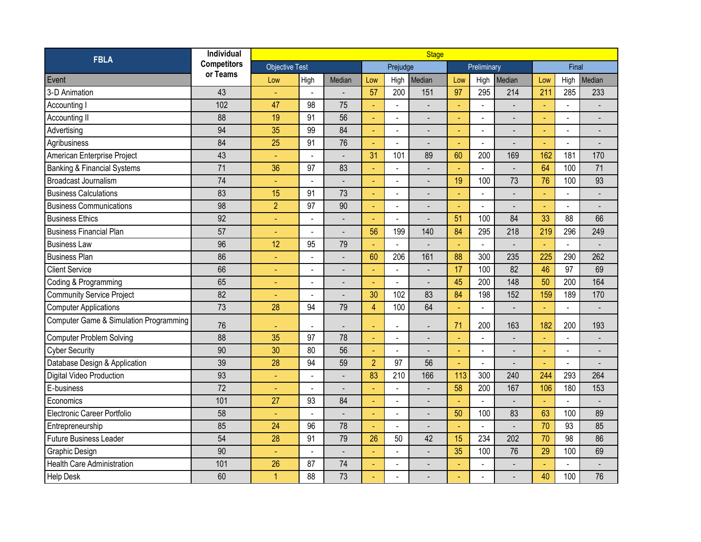| <b>FBLA</b>                                       | Individual                     | <b>Stage</b>          |                          |                              |                |                          |        |                |                |                          |                |                          |                              |
|---------------------------------------------------|--------------------------------|-----------------------|--------------------------|------------------------------|----------------|--------------------------|--------|----------------|----------------|--------------------------|----------------|--------------------------|------------------------------|
|                                                   | <b>Competitors</b><br>or Teams | <b>Objective Test</b> |                          |                              |                | Prejudge                 |        | Preliminary    |                |                          | Final          |                          |                              |
| Event                                             |                                | Low                   | High                     | Median                       | Low            | High                     | Median | Low            | High           | Median                   | Low            | High                     | Median                       |
| 3-D Animation                                     | 43                             |                       |                          |                              | 57             | 200                      | 151    | 97             | 295            | 214                      | 211            | 285                      | 233                          |
| Accounting I                                      | 102                            | 47                    | 98                       | 75                           | $\omega$       | $\blacksquare$           |        | ÷,             | $\Box$         |                          | $\omega$       | $\omega$                 |                              |
| Accounting II                                     | 88                             | 19                    | 91                       | 56                           |                | $\overline{a}$           |        | ä,             | $\overline{a}$ |                          | ÷              | $\overline{a}$           | $\overline{\phantom{a}}$     |
| Advertising                                       | 94                             | 35                    | 99                       | 84                           | ÷,             | ÷,                       |        | Ξ              | $\blacksquare$ |                          | $\blacksquare$ | $\overline{a}$           |                              |
| Agribusiness                                      | 84                             | 25                    | 91                       | 76                           | $\blacksquare$ | $\blacksquare$           |        | $\blacksquare$ | $\blacksquare$ | $\overline{\phantom{a}}$ | $\blacksquare$ | $\overline{\phantom{a}}$ | $\qquad \qquad \blacksquare$ |
| American Enterprise Project                       | 43                             | ÷,                    |                          | $\overline{a}$               | 31             | 101                      | 89     | 60             | 200            | 169                      | 162            | 181                      | 170                          |
| <b>Banking &amp; Financial Systems</b>            | 71                             | 36                    | 97                       | 83                           |                | $\blacksquare$           |        | ä,             |                |                          | 64             | 100                      | 71                           |
| <b>Broadcast Journalism</b>                       | 74                             | Ξ                     | $\overline{\phantom{a}}$ |                              | ÷,             | $\blacksquare$           |        | 19             | 100            | 73                       | 76             | 100                      | 93                           |
| <b>Business Calculations</b>                      | 83                             | 15                    | 91                       | 73                           |                | $\overline{a}$           |        | ä,             | $\overline{a}$ |                          | $\blacksquare$ | $\overline{a}$           |                              |
| <b>Business Communications</b>                    | 98                             | $\overline{2}$        | 97                       | 90                           | ٠              | $\frac{1}{2}$            |        | $\blacksquare$ | $\blacksquare$ |                          | $\blacksquare$ | $\blacksquare$           |                              |
| <b>Business Ethics</b>                            | 92                             | ÷                     | $\blacksquare$           | $\overline{a}$               | $\blacksquare$ | $\blacksquare$           |        | 51             | 100            | 84                       | 33             | 88                       | 66                           |
| <b>Business Financial Plan</b>                    | 57                             | ä,                    |                          |                              | 56             | 199                      | 140    | 84             | 295            | 218                      | 219            | 296                      | 249                          |
| <b>Business Law</b>                               | 96                             | 12                    | 95                       | 79                           |                | $\overline{a}$           |        |                | $\blacksquare$ |                          |                | $\Box$                   |                              |
| <b>Business Plan</b>                              | 86                             | ÷                     | $\overline{a}$           | $\overline{a}$               | 60             | 206                      | 161    | 88             | 300            | 235                      | 225            | 290                      | 262                          |
| <b>Client Service</b>                             | 66                             |                       |                          |                              |                | $\overline{a}$           |        | 17             | 100            | 82                       | 46             | 97                       | 69                           |
| Coding & Programming                              | 65                             |                       | $\blacksquare$           | $\qquad \qquad \blacksquare$ | ÷              | $\overline{\phantom{a}}$ |        | 45             | 200            | 148                      | 50             | 200                      | 164                          |
| <b>Community Service Project</b>                  | 82                             | $\equiv$              | $\overline{a}$           | $\overline{a}$               | 30             | 102                      | 83     | 84             | 198            | 152                      | 159            | 189                      | 170                          |
| <b>Computer Applications</b>                      | 73                             | 28                    | 94                       | 79                           | $\overline{4}$ | 100                      | 64     | L,             | $\overline{a}$ |                          | ÷.             | $\overline{a}$           |                              |
| <b>Computer Game &amp; Simulation Programming</b> | 76                             |                       |                          |                              |                |                          |        | 71             | 200            | 163                      | 182            | 200                      | 193                          |
| <b>Computer Problem Solving</b>                   | 88                             | 35                    | 97                       | 78                           |                | $\overline{a}$           |        | ÷,             | $\blacksquare$ |                          | $\omega$       | $\blacksquare$           | $\overline{\phantom{a}}$     |
| <b>Cyber Security</b>                             | 90                             | 30                    | 80                       | 56                           |                | L,                       |        | $\blacksquare$ | $\overline{a}$ |                          | ٠              | $\overline{a}$           | $\overline{a}$               |
| Database Design & Application                     | 39                             | 28                    | 94                       | 59                           | $\overline{2}$ | 97                       | 56     | Ξ              | $\blacksquare$ |                          | $\blacksquare$ | $\blacksquare$           |                              |
| <b>Digital Video Production</b>                   | 93                             | $\equiv$              | $\blacksquare$           | $\overline{a}$               | 83             | 210                      | 166    | 113            | 300            | 240                      | 244            | 293                      | 264                          |
| E-business                                        | $\overline{72}$                | Ξ                     | $\sim$                   | $\overline{a}$               |                | L,                       |        | 58             | 200            | 167                      | 106            | 180                      | 153                          |
| Economics                                         | 101                            | 27                    | 93                       | 84                           |                | $\overline{a}$           |        |                |                |                          | ÷.             | $\overline{a}$           |                              |
| Electronic Career Portfolio                       | 58                             | ÷,                    |                          |                              | $\blacksquare$ | $\blacksquare$           |        | 50             | 100            | 83                       | 63             | 100                      | 89                           |
| Entrepreneurship                                  | 85                             | 24                    | 96                       | 78                           | ÷              | ÷,                       |        | ä,             | $\overline{a}$ |                          | 70             | 93                       | 85                           |
| <b>Future Business Leader</b>                     | 54                             | 28                    | 91                       | 79                           | 26             | 50                       | 42     | 15             | 234            | 202                      | 70             | 98                       | 86                           |
| Graphic Design                                    | 90                             | ÷                     | $\overline{a}$           | $\overline{a}$               | $\blacksquare$ | $\overline{a}$           |        | 35             | 100            | 76                       | 29             | 100                      | 69                           |
| <b>Health Care Administration</b>                 | 101                            | 26                    | 87                       | 74                           |                | L,                       |        |                |                |                          | ÷.             | $\overline{a}$           |                              |
| <b>Help Desk</b>                                  | 60                             | $\overline{1}$        | 88                       | 73                           |                | $\blacksquare$           |        | Ξ              |                |                          | 40             | 100                      | 76                           |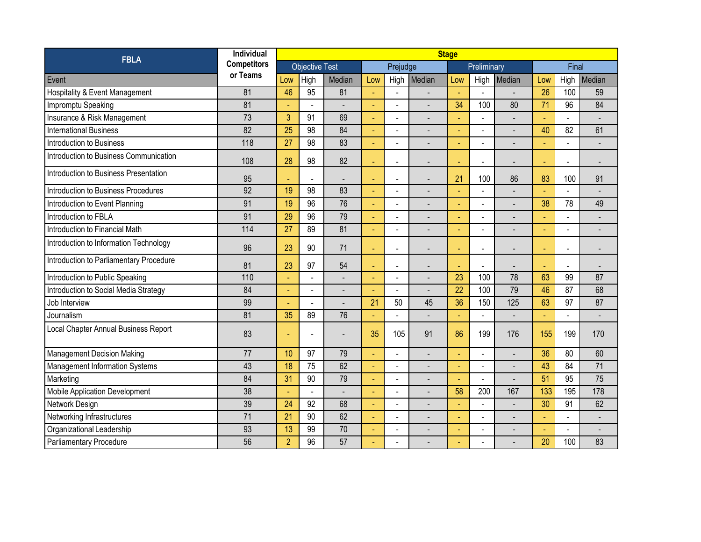| <b>FBLA</b>                               | Individual         | <b>Stage</b>          |      |        |          |                          |        |                |                          |                |                          |                |                |
|-------------------------------------------|--------------------|-----------------------|------|--------|----------|--------------------------|--------|----------------|--------------------------|----------------|--------------------------|----------------|----------------|
|                                           | <b>Competitors</b> | <b>Objective Test</b> |      |        | Prejudge |                          |        | Preliminary    |                          |                | Final                    |                |                |
| Event                                     | or Teams           | Low                   | High | Median | Low      | High                     | Median | Low            | High                     | Median         | Low                      | High           | Median         |
| <b>Hospitality &amp; Event Management</b> | 81                 | 46                    | 95   | 81     | Ξ        | ÷,                       |        | ٠              | $\sim$                   |                | 26                       | 100            | 59             |
| Impromptu Speaking                        | 81                 |                       |      |        |          | $\overline{\phantom{0}}$ |        | 34             | 100                      | 80             | 71                       | 96             | 84             |
| Insurance & Risk Management               | 73                 | 3                     | 91   | 69     |          |                          |        |                |                          |                | ٠                        | $\overline{a}$ |                |
| <b>International Business</b>             | 82                 | 25                    | 98   | 84     |          |                          |        |                | L.                       |                | 40                       | 82             | 61             |
| Introduction to Business                  | 118                | $\overline{27}$       | 98   | 83     | ÷        | ÷.                       |        | ÷              | $\overline{a}$           |                |                          | $\overline{a}$ | $\blacksquare$ |
| Introduction to Business Communication    | 108                | 28                    | 98   | 82     |          | $\blacksquare$           |        | $\blacksquare$ | $\blacksquare$           |                | $\overline{\phantom{a}}$ | $\blacksquare$ |                |
| Introduction to Business Presentation     | 95                 |                       |      | ÷,     | ÷        | $\overline{\phantom{0}}$ |        | 21             | 100                      | 86             | 83                       | 100            | 91             |
| Introduction to Business Procedures       | 92                 | 19                    | 98   | 83     |          | $\overline{a}$           |        | ä,             |                          |                |                          | $\overline{a}$ |                |
| Introduction to Event Planning            | 91                 | 19                    | 96   | 76     | ÷        |                          |        | $\blacksquare$ | $\overline{a}$           |                | 38                       | 78             | 49             |
| Introduction to FBLA                      | 91                 | 29                    | 96   | 79     |          | L,                       |        |                | $\blacksquare$           |                |                          | $\overline{a}$ |                |
| Introduction to Financial Math            | 114                | 27                    | 89   | 81     |          |                          |        |                |                          |                |                          | ÷,             |                |
| Introduction to Information Technology    | 96                 | 23                    | 90   | 71     |          | $\overline{\phantom{0}}$ |        | ÷.             | $\blacksquare$           |                |                          | $\blacksquare$ |                |
| Introduction to Parliamentary Procedure   | 81                 | 23                    | 97   | 54     |          | $\blacksquare$           |        |                | $\overline{\phantom{a}}$ |                |                          | $\blacksquare$ |                |
| Introduction to Public Speaking           | 110                |                       |      |        |          | L,                       |        | 23             | 100                      | 78             | 63                       | 99             | 87             |
| Introduction to Social Media Strategy     | 84                 |                       |      |        |          | $\overline{\phantom{a}}$ |        | 22             | 100                      | 79             | 46                       | 87             | 68             |
| Job Interview                             | 99                 |                       |      |        | 21       | 50                       | 45     | 36             | 150                      | 125            | 63                       | 97             | 87             |
| Journalism                                | 81                 | 35                    | 89   | 76     |          |                          |        |                |                          |                | ä,                       | $\overline{a}$ |                |
| Local Chapter Annual Business Report      | 83                 |                       |      |        | 35       | 105                      | 91     | 86             | 199                      | 176            | 155                      | 199            | 170            |
| <b>Management Decision Making</b>         | 77                 | 10                    | 97   | 79     |          | $\overline{\phantom{0}}$ |        | $\blacksquare$ |                          |                | 36                       | 80             | 60             |
| <b>Management Information Systems</b>     | 43                 | 18                    | 75   | 62     |          |                          |        |                | $\mathbf{r}$             |                | 43                       | 84             | 71             |
| Marketing                                 | 84                 | 31                    | 90   | 79     |          | ÷,                       |        |                | $\overline{a}$           |                | 51                       | 95             | 75             |
| <b>Mobile Application Development</b>     | 38                 |                       |      |        |          | $\overline{a}$           |        | 58             | 200                      | 167            | 133                      | 195            | 178            |
| Network Design                            | 39                 | 24                    | 92   | 68     |          | $\overline{a}$           |        | ÷              | $\blacksquare$           |                | 30                       | 91             | 62             |
| Networking Infrastructures                | 71                 | $\overline{21}$       | 90   | 62     | ÷,       | $\overline{a}$           |        | ÷.             | $\sim$                   | $\overline{a}$ | ä,                       | $\overline{a}$ | $\blacksquare$ |
| Organizational Leadership                 | 93                 | 13                    | 99   | 70     |          | $\overline{\phantom{a}}$ |        | ٠              |                          |                | Ξ                        | $\blacksquare$ |                |
| Parliamentary Procedure                   | 56                 | $\overline{2}$        | 96   | 57     |          |                          |        |                |                          |                | 20                       | 100            | 83             |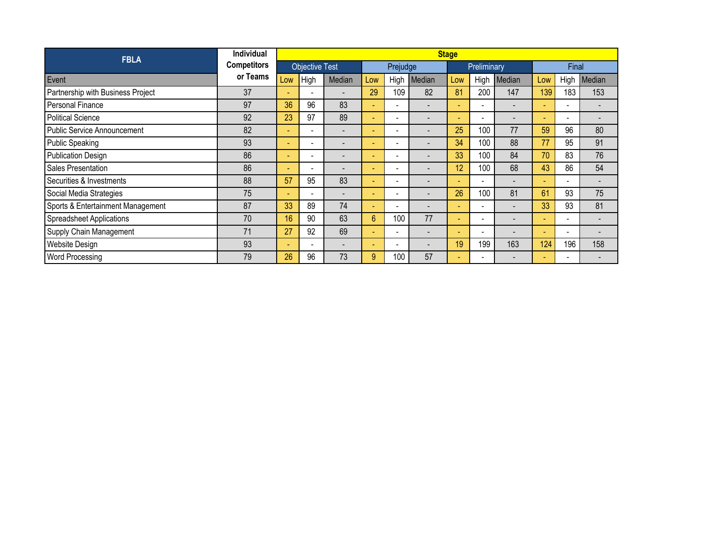| <b>FBLA</b>                        | <b>Individual</b>  | <b>Stage</b>          |                          |        |          |                              |                          |        |                          |                          |                          |                          |        |
|------------------------------------|--------------------|-----------------------|--------------------------|--------|----------|------------------------------|--------------------------|--------|--------------------------|--------------------------|--------------------------|--------------------------|--------|
|                                    | <b>Competitors</b> | <b>Objective Test</b> |                          |        | Prejudge |                              |                          |        | Preliminary              |                          | Final                    |                          |        |
| Event                              | or Teams           | Low                   | High                     | Median | Low      | High                         | Median                   | Low    | High                     | Median                   | Low                      | High                     | Median |
| Partnership with Business Project  | 37                 |                       |                          |        | 29       | 109                          | 82                       | 81     | 200                      | 147                      | 139                      | 183                      | 153    |
| <b>Personal Finance</b>            | 97                 | 36                    | 96                       | 83     | ÷.       | $\overline{\phantom{0}}$     | $\blacksquare$           | ÷      | $\overline{\phantom{a}}$ |                          | ٠                        | $\sim$                   |        |
| Political Science                  | 92                 | 23                    | 97                       | 89     | ٠        | $\sim$                       |                          | ٠      | $\overline{\phantom{a}}$ |                          | $\overline{\phantom{a}}$ | $\overline{\phantom{a}}$ |        |
| <b>Public Service Announcement</b> | 82                 |                       |                          |        |          | $\overline{\phantom{a}}$     |                          | 25     | 100                      | 77                       | 59                       | 96                       | 80     |
| <b>Public Speaking</b>             | 93                 |                       | ۰                        |        |          | $\overline{\phantom{a}}$     |                          | 34     | 100                      | 88                       | 77                       | 95                       | 91     |
| <b>Publication Design</b>          | 86                 | ۰.                    | ۰.                       |        | ٠        | $\overline{\phantom{0}}$     |                          | 33     | 100                      | 84                       | 70                       | 83                       | 76     |
| Sales Presentation                 | 86                 |                       |                          |        |          | $\overline{\phantom{a}}$     |                          | 12     | 100                      | 68                       | 43                       | 86                       | 54     |
| Securities & Investments           | 88                 | 57                    | 95                       | 83     |          | $\overline{\phantom{a}}$     |                          | ٠      | $\overline{\phantom{0}}$ | $\overline{\phantom{0}}$ |                          | $\overline{\phantom{a}}$ |        |
| Social Media Strategies            | 75                 |                       | $\overline{\phantom{0}}$ |        | ۰.       | $\overline{\phantom{a}}$     |                          | 26     | 100                      | 81                       | 61                       | 93                       | 75     |
| Sports & Entertainment Management  | 87                 | 33                    | 89                       | 74     | ٠        | $\overline{\phantom{a}}$     | $\overline{\phantom{0}}$ | ٠      | $\overline{\phantom{a}}$ | -                        | 33                       | 93                       | 81     |
| <b>Spreadsheet Applications</b>    | 70                 | 16                    | 90                       | 63     | 6        | 100                          | 77                       | $\sim$ | -                        |                          | ۰                        | $\overline{\phantom{a}}$ |        |
| Supply Chain Management            | 71                 | 27                    | 92                       | 69     |          | $\qquad \qquad \blacksquare$ | $\overline{\phantom{a}}$ | ٠      | ÷                        |                          | ٠                        | $\overline{\phantom{a}}$ |        |
| Website Design                     | 93                 |                       | $\overline{\phantom{0}}$ | ۰      | ٠        | $\overline{\phantom{a}}$     |                          | 19     | 199                      | 163                      | 124                      | 196                      | 158    |
| Word Processing                    | 79                 | 26                    | 96                       | 73     | 9        | 100                          | 57                       | $\sim$ |                          |                          | -                        |                          |        |